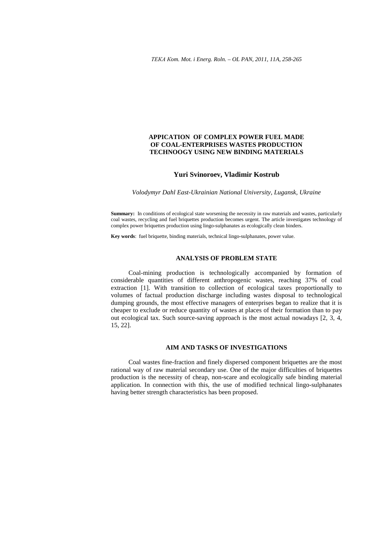# **APPICATION OF COMPLEX POWER FUEL MADE OF COAL-ENTERPRISES WASTES PRODUCTION TECHNOOGY USING NEW BINDING MATERIALS**

# **Yuri Svinoroev, Vladimir Kostrub**

*Volodymyr Dahl East-Ukrainian National University, Lugansk, Ukraine* 

**Summary:** In conditions of ecological state worsening the necessity in raw materials and wastes, particularly coal wastes, recycling and fuel briquettes production becomes urgent. The article investigates technology of complex power briquettes production using lingo-sulphanates as ecologically clean binders.

**Key words**: fuel briquette, binding materials, technical lingo-sulphanates, power value.

# **ANALYSIS OF PROBLEM STATE**

Coal-mining production is technologically accompanied by formation of considerable quantities of different anthropogenic wastes, reaching 37% of coal extraction [1]. With transition to collection of ecological taxes proportionally to volumes of factual production discharge including wastes disposal to technological dumping grounds, the most effective managers of enterprises began to realize that it is cheaper to exclude or reduce quantity of wastes at places of their formation than to pay out ecological tax. Such source-saving approach is the most actual nowadays [2, 3, 4, 15, 22].

## **AIM AND TASKS OF INVESTIGATIONS**

Coal wastes fine-fraction and finely dispersed component briquettes are the most rational way of raw material secondary use. One of the major difficulties of briquettes production is the necessity of cheap, non-scare and ecologically safe binding material application. In connection with this, the use of modified technical lingo-sulphanates having better strength characteristics has been proposed.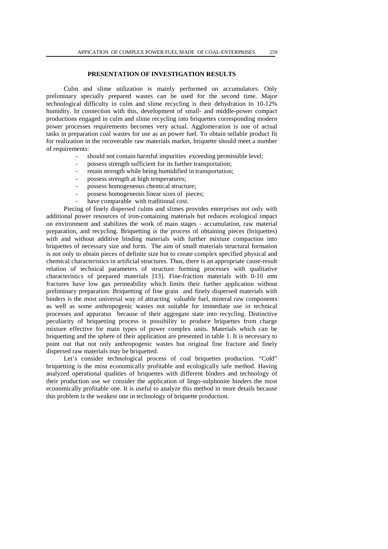# **PRESENTATION OF INVESTIGATION RESULTS**

Culm and slime utilization is mainly performed on accumulators. Only preliminary specially prepared wastes can be used for the second time. Major technological difficulty in culm and slime recycling is their dehydration to 10-12% humidity. In connection with this, development of small- and middle-power compact productions engaged in culm and slime recycling into briquettes corresponding modern power processes requirements becomes very actual. Agglomeration is one of actual tasks in preparation coal wastes for use as an power fuel. To obtain sellable product fit for realization in the recoverable raw materials market, briquette should meet a number of requirements:

- should not contain harmful impurities exceeding permissible level;
- possess strength sufficient for its further transportation;
- retain strength while being humidified in transportation;
- possess strength at high temperatures;
- possess homogeneous chemical structure;
- possess homogeneous linear sizes of pieces;
- have comparable with traditional cost.

Piecing of finely dispersed culms and slimes provides enterprises not only with additional power resources of iron-containing materials but reduces ecological impact on environment and stabilizes the work of main stages - accumulation, raw material preparation, and recycling. Briquetting is the process of obtaining pieces (briquettes) with and without additive binding materials with further mixture compaction into briquettes of necessary size and form. The aim of small materials structural formation is not only to obtain pieces of definite size but to create complex specified physical and chemical characteristics in artificial structures. Thus, there is an appropriate cause-result relation of technical parameters of structure forming processes with qualitative characteristics of prepared materials [13]. Fine-fraction materials with 0-10 mm fractures have low gas permeability which limits their further application without preliminary preparation. Briquetting of fine grain and finely dispersed materials with binders is the most universal way of attracting valuable fuel, mineral raw components as well as some anthropogenic wastes not suitable for immediate use in technical processes and apparatus because of their aggregate state into recycling. Distinctive peculiarity of briquetting process is possibility to produce briquettes from charge mixture effective for main types of power complex units. Materials which can be briquetting and the sphere of their application are presented in table 1. It is necessary to point out that not only anthropogenic wastes but original fine fracture and finely dispersed raw materials may be briquetted.

Let's consider technological process of coal briquettes production. "Cold" briquetting is the most economically profitable and ecologically safe method. Having analyzed operational qualities of briquettes with different binders and technology of their production use we consider the application of lingo-sulphonite binders the most economically profitable one. It is useful to analyze this method in more details because this problem is the weakest one in technology of briquette production.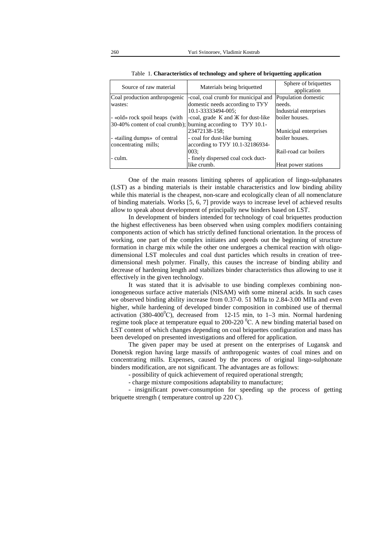| Source of raw material         | Materials being briquetted                                    | Sphere of briquettes<br>application |  |
|--------------------------------|---------------------------------------------------------------|-------------------------------------|--|
| Coal production anthropogenic  | -coal, coal crumb for municipal and                           | Population domestic                 |  |
| wastes:                        | domestic needs according to TYY                               | needs.                              |  |
|                                | 10.1-33333494-005;                                            | Industrial enterprises              |  |
| - «old» rock spoil heaps (with | -coal, grade K and <i>K</i> for dust-like                     | boiler houses.                      |  |
|                                | 30-40% content of coal crumb); burning according to TYY 10.1- |                                     |  |
|                                | 23472138-158;                                                 | Municipal enterprises               |  |
| - «tailing dumps» of central   | - coal for dust-like burning                                  | boiler houses.                      |  |
| concentrating mills;           | according to TVV 10.1-32186934-                               |                                     |  |
|                                | 003:                                                          | Rail-road car boilers               |  |
| - culm.                        | - finely dispersed coal cock duct-                            |                                     |  |
|                                | like crumb.                                                   | Heat power stations                 |  |

Table 1. **Characteristics of technology and sphere of briquetting application** 

One of the main reasons limiting spheres of application of lingo-sulphanates (LST) as a binding materials is their instable characteristics and low binding ability while this material is the cheapest, non-scare and ecologically clean of all nomenclature of binding materials. Works [5, 6, 7] provide ways to increase level of achieved results allow to speak about development of principally new binders based on LST.

In development of binders intended for technology of coal briquettes production the highest effectiveness has been observed when using complex modifiers containing components action of which has strictly defined functional orientation. In the process of working, one part of the complex initiates and speeds out the beginning of structure formation in charge mix while the other one undergoes a chemical reaction with oligodimensional LST molecules and coal dust particles which results in creation of treedimensional mesh polymer. Finally, this causes the increase of binding ability and decrease of hardening length and stabilizes binder characteristics thus allowing to use it effectively in the given technology.

It was stated that it is advisable to use binding complexes combining nonionogeneous surface active materials (NISAM) with some mineral acids. In such cases we observed binding ability increase from 0.37-0. 51 МПа to 2.84-3.00 МПа and even higher, while hardening of developed binder composition in combined use of thermal activation (380-400<sup>0</sup>C), decreased from 12-15 min, to 1–3 min. Normal hardening regime took place at temperature equal to 200-220  $^0C$ . A new binding material based on LST content of which changes depending on coal briquettes configuration and mass has been developed on presented investigations and offered for application.

The given paper may be used at present on the enterprises of Lugansk and Donetsk region having large massifs of anthropogenic wastes of coal mines and on concentrating mills. Expenses, caused by the process of original lingo-sulphonate binders modification, are not significant. The advantages are as follows:

- possibility of quick achievement of required operational strength;

- charge mixture compositions adaptability to manufacture;

- insignificant power-consumption for speeding up the process of getting briquette strength ( temperature control up 220 С).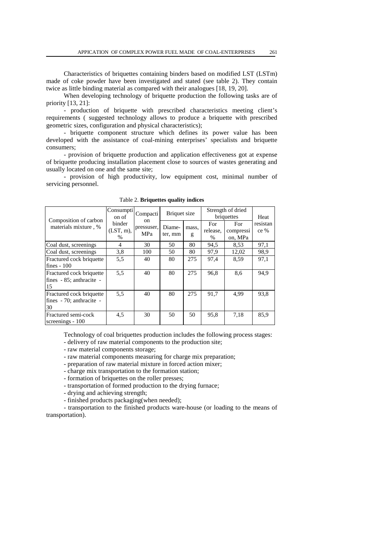Characteristics of briquettes containing binders based on modified LST (LSTm) made of coke powder have been investigated and stated (see table 2). They contain twice as little binding material as compared with their analogues [18, 19, 20].

When developing technology of briquette production the following tasks are of priority [13, 21]:

- production of briquette with prescribed characteristics meeting client's requirements ( suggested technology allows to produce a briquette with prescribed geometric sizes, configuration and physical characteristics);

- briquette component structure which defines its power value has been developed with the assistance of coal-mining enterprises' specialists and briquette consumers;

- provision of briquette production and application effectiveness got at expense of briquette producing installation placement close to sources of wastes generating and usually located on one and the same site;

- provision of high productivity, low equipment cost, minimal number of servicing personnel.

| Composition of carbon<br>materials mixture, %              | Consumpti<br>on of             | Compacti<br>on<br>pressuser,<br>MPa | Briquet size      |            | Strength of dried<br>briquettes |                             | Heat             |
|------------------------------------------------------------|--------------------------------|-------------------------------------|-------------------|------------|---------------------------------|-----------------------------|------------------|
|                                                            | binder<br>$(LST, m)$ ,<br>$\%$ |                                     | Diame-<br>ter, mm | mass.<br>g | For<br>release,<br>%            | For<br>compressi<br>on, MPa | resistan<br>ce % |
| Coal dust, screenings                                      | 4                              | 30                                  | 50                | 80         | 94,5                            | 8.53                        | 97,1             |
| Coal dust, screenings                                      | 3,8                            | 100                                 | 50                | 80         | 97,9                            | 12,02                       | 98.9             |
| Fractured cock briquette<br>fines $-100$                   | 5.5                            | 40                                  | 80                | 275        | 97.4                            | 8.59                        | 97,1             |
| Fractured cock briquette<br>fines - 85; anthracite -<br>15 | 5.5                            | 40                                  | 80                | 275        | 96,8                            | 8,6                         | 94,9             |
| Fractured cock briquette<br>fines - 70; anthracite -<br>30 | 5.5                            | 40                                  | 80                | 275        | 91.7                            | 4.99                        | 93,8             |
| Fractured semi-cock<br>screenings - 100                    | 4,5                            | 30                                  | 50                | 50         | 95,8                            | 7.18                        | 85,9             |

Table 2. **Briquettes quality indices** 

Technology of coal briquettes production includes the following process stages:

- delivery of raw material components to the production site;

- raw material components storage;
- raw material components measuring for charge mix preparation;
- preparation of raw material mixture in forced action mixer;
- charge mix transportation to the formation station;
- formation of briquettes on the roller presses;
- transportation of formed production to the drying furnace;
- drying and achieving strength;
- finished products packaging(when needed);

- transportation to the finished products ware-house (or loading to the means of transportation).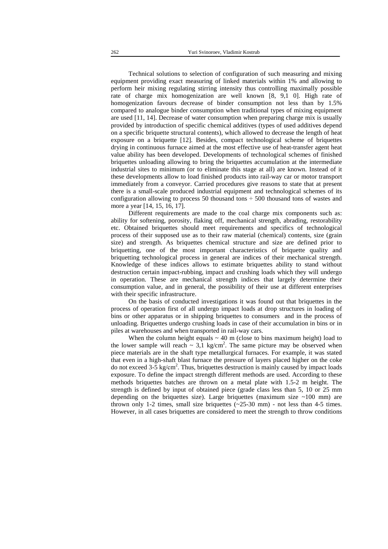Technical solutions to selection of configuration of such measuring and mixing equipment providing exact measuring of linked materials within 1% and allowing to perform heir mixing regulating stirring intensity thus controlling maximally possible rate of charge mix homogenization are well known [8, 9,1 0]. High rate of homogenization favours decrease of binder consumption not less than by 1.5% compared to analogue binder consumption when traditional types of mixing equipment are used [11, 14]. Decrease of water consumption when preparing charge mix is usually provided by introduction of specific chemical additives (types of used additives depend on a specific briquette structural contents), which allowed to decrease the length of heat exposure on a briquette [12]. Besides, compact technological scheme of briquettes drying in continuous furnace aimed at the most effective use of heat-transfer agent heat value ability has been developed. Developments of technological schemes of finished briquettes unloading allowing to bring the briquettes accumulation at the intermediate industrial sites to minimum (or to eliminate this stage at all) are known. Instead of it these developments allow to load finished products into rail-way car or motor transport immediately from a conveyor. Carried procedures give reasons to state that at present there is a small-scale produced industrial equipment and technological schemes of its configuration allowing to process 50 thousand tons  $\div$  500 thousand tons of wastes and more a year [14, 15, 16, 17].

Different requirements are made to the coal charge mix components such as: ability for softening, porosity, flaking off, mechanical strength, abrading, restorability etc. Obtained briquettes should meet requirements and specifics of technological process of their supposed use as to their raw material (chemical) contents, size (grain size) and strength. As briquettes chemical structure and size are defined prior to briquetting, one of the most important characteristics of briquette quality and briquetting technological process in general are indices of their mechanical strength. Knowledge of these indices allows to estimate briquettes ability to stand without destruction certain impact-rubbing, impact and crushing loads which they will undergo in operation. These are mechanical strength indices that largely determine their consumption value, and in general, the possibility of their use at different enterprises with their specific infrastructure.

On the basis of conducted investigations it was found out that briquettes in the process of operation first of all undergo impact loads at drop structures in loading of bins or other apparatus or in shipping briquettes to consumers and in the process of unloading. Briquettes undergo crushing loads in case of their accumulation in bins or in piles at warehouses and when transported in rail-way cars.

When the column height equals  $\sim$  40 m (close to bins maximum height) load to the lower sample will reach  $\sim 3.1 \text{ kg/cm}^2$ . The same picture may be observed when piece materials are in the shaft type metallurgical furnaces. For example, it was stated that even in a high-shaft blast furnace the pressure of layers placed higher on the coke do not exceed 3-5 kg/сm 2 . Thus, briquettes destruction is mainly caused by impact loads exposure. To define the impact strength different methods are used. According to these methods briquettes batches are thrown on a metal plate with 1.5-2 m height. The strength is defined by input of obtained piece (grade class less than 5, 10 or 25 mm depending on the briquettes size). Large briquettes (maximum size  $\sim$ 100 mm) are thrown only 1-2 times, small size briquettes  $(\sim 25{\text -}30 \text{ mm})$  - not less than 4-5 times. However, in all cases briquettes are considered to meet the strength to throw conditions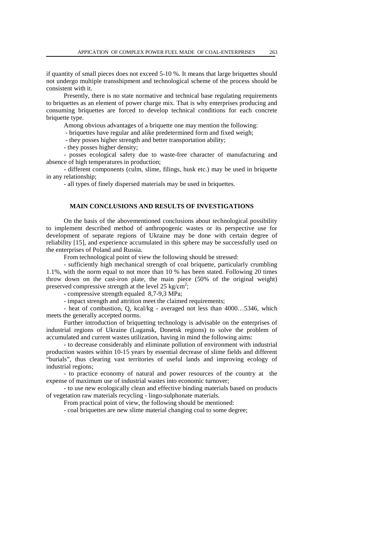if quantity of small pieces does not exceed 5-10 %. It means that large briquettes should not undergo multiple transshipment and technological scheme of the process should be consistent with it.

Presently, there is no state normative and technical base regulating requirements to briquettes as an element of power charge mix. That is why enterprises producing and consuming briquettes are forced to develop technical conditions for each concrete briquette type.

Among obvious advantages of a briquette one may mention the following:

- briquettes have regular and alike predetermined form and fixed weigh;

- they posses higher strength and better transportation ability;

- they posses higher density;

- posses ecological safety due to waste-free character of manufacturing and absence of high temperatures in production;

- different components (culm, slime, filings, husk etc.) may be used in briquette in any relationship;

- all types of finely dispersed materials may be used in briquettes.

# **MAIN CONCLUSIONS AND RESULTS OF INVESTIGATIONS**

On the basis of the abovementioned conclusions about technological possibility to implement described method of anthropogenic wastes or its perspective use for development of separate regions of Ukraine may be done with certain degree of reliability [15], and experience accumulated in this sphere may be successfully used on the enterprises of Poland and Russia.

From technological point of view the following should be stressed:

- sufficiently high mechanical strength of coal briquette, particularly crumbling 1.1%, with the norm equal to not more than 10 % has been stated. Following 20 times throw down on the cast-iron plate, the main piece (50% of the original weight) preserved compressive strength at the level 25 kg/cm<sup>2</sup>;

- compressive strength equaled 8,7-9,3 MPа;

- impact strength and attrition meet the claimed requirements;

- heat of combustion, Q, kcal/kg - averaged not less than 4000…5346, which meets the generally accepted norms.

Further introduction of briquetting technology is advisable on the enterprises of industrial regions of Ukraine (Lugansk, Donetsk regions) to solve the problem of accumulated and current wastes utilization, having in mind the following aims:

- to decrease considerably and eliminate pollution of environment with industrial production wastes within 10-15 years by essential decrease of slime fields and different "burials", thus clearing vast territories of useful lands and improving ecology of industrial regions;

- to practice economy of natural and power resources of the country at the expense of maximum use of industrial wastes into economic turnover;

- to use new ecologically clean and effective binding materials based on products of vegetation raw materials recycling - lingo-sulphonate materials.

From practical point of view, the following should be mentioned:

- coal briquettes are new slime material changing coal to some degree;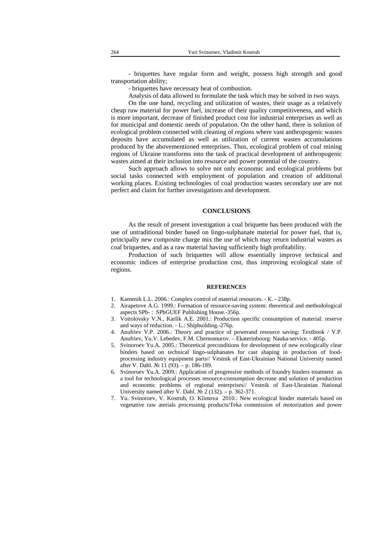- briquettes have regular form and weight, possess high strength and good transportation ability;

- briquettes have necessary heat of combustion.

Analysis of data allowed to formulate the task which may be solved in two ways.

On the one hand, recycling and utilization of wastes, their usage as a relatively cheap raw material for power fuel, increase of their quality competitiveness, and which is more important, decrease of finished product cost for industrial enterprises as well as for municipal and domestic needs of population. On the other hand, there is solution of ecological problem connected with cleaning of regions where vast anthropogenic wastes deposits have accumulated as well as utilization of current wastes accumulations produced by the abovementioned enterprises. Thus, ecological problem of coal mining regions of Ukraine transforms into the task of practical development of anthropogenic wastes aimed at their inclusion into resource and power potential of the country.

Such approach allows to solve not only economic and ecological problems but social tasks connected with employment of population and creation of additional working places. Existing technologies of coal production wastes secondary use are not perfect and claim for further investigations and development.

### **CONCLUSIONS**

As the result of present investigation a coal briquette has been produced with the use of untraditional binder based on lingo-sulphanate material for power fuel, that is, principally new composite charge mix the use of which may return industrial wastes as coal briquettes, and as a raw material having sufficiently high profitability.

Production of such briquettes will allow essentially improve technical and economic indices of enterprise production cost, thus improving ecological state of regions.

#### **REFERENCES**

- 1. Kamenik L.L. 2006.: Complex control of material resources. К. 238p.
- 2. Airapetove A.G. 1999.: Formation of resource-saving system: theoretical and methodological aspects SPb- : SPbGUEF Publishing House.-356p.
- 3. Voitolovsky V.N., Karlik A.E. 2001.: Production specific consumption of material: reserve and ways of reduction. - L.: Shipbuilding.-276p.
- 4. Anufriev V.P. 2006.: Theory and practice of powerand resource saving: Textbook / V.P. Anufriev, Yu.V. Lebedev, F.M. Chernomurov. – Ekaterinboorg: Nauka-service. - 405p.
- 5. Svinoroev Yu.A. 2005.: Theoretical preconditions for development of new ecologically clear binders based on technical lingo-sulphanates for cast shaping in production of foodprocessing industry equipment parts// Vestnik of East-Ukrainian National University named after V. Dahl. № 11 (93). – p. 186-189.
- 6. Svinoroev Yu.A. 2009.: Application of progressive methods of foundry binders treatment as a tool for technological processes resource-consumption decrease and solution of production and economic problems of regional enterprises// Vestnik of East-Ukrainian National University named after V. Dahl.  $\mathcal{N}$ <sup>2</sup> (132). – p. 362-371.
- 7. Yu. Svinoroev, V. Kostrub, O. Klimova 2010.: New ecological binder materials based on vegetative raw aterials processintg products/Teka commission of motorization and power